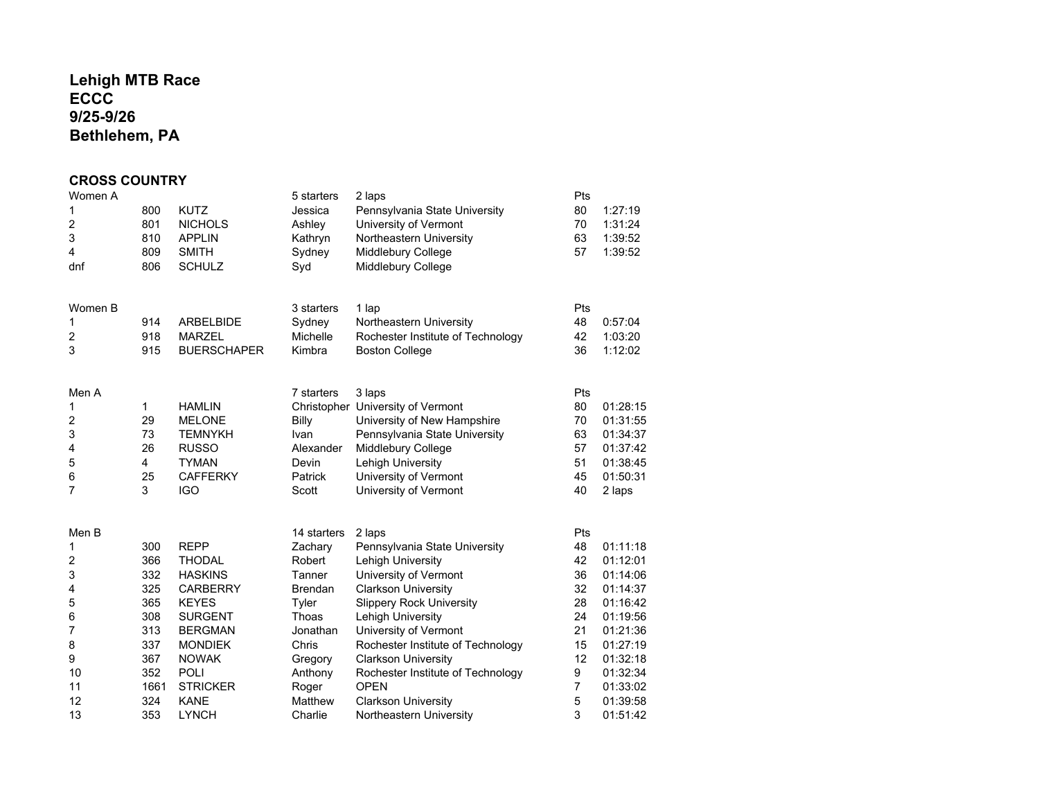# **Lehigh MTB RaceECCC 9/25-9/26Bethlehem, PA**

## **CROSS COUNTRY**

| Women A<br>1<br>2<br>3<br>$\overline{4}$<br>dnf | 800<br>801<br>810<br>809<br>806 | <b>KUTZ</b><br><b>NICHOLS</b><br><b>APPLIN</b><br><b>SMITH</b><br><b>SCHULZ</b> | 5 starters<br>Jessica<br>Ashley<br>Kathryn<br>Sydney<br>Syd | 2 laps<br>Pennsylvania State University<br>University of Vermont<br>Northeastern University<br>Middlebury College<br>Middlebury College | Pts<br>80<br>70<br>63<br>57 | 1:27:19<br>1:31:24<br>1:39:52<br>1:39:52 |
|-------------------------------------------------|---------------------------------|---------------------------------------------------------------------------------|-------------------------------------------------------------|-----------------------------------------------------------------------------------------------------------------------------------------|-----------------------------|------------------------------------------|
| Women B<br>1                                    | 914                             | <b>ARBELBIDE</b>                                                                | 3 starters<br>Sydney                                        | 1 lap<br>Northeastern University                                                                                                        | Pts<br>48                   | 0:57:04                                  |
| 2                                               | 918                             | <b>MARZEL</b>                                                                   | Michelle                                                    | Rochester Institute of Technology                                                                                                       | 42                          | 1:03:20                                  |
| 3                                               | 915                             | <b>BUERSCHAPER</b>                                                              | Kimbra                                                      | <b>Boston College</b>                                                                                                                   | 36                          | 1:12:02                                  |
| Men A                                           |                                 |                                                                                 | 7 starters                                                  | 3 laps                                                                                                                                  | Pts                         |                                          |
| 1<br>2                                          | 1<br>29                         | <b>HAMLIN</b><br><b>MELONE</b>                                                  | Billy                                                       | Christopher University of Vermont<br>University of New Hampshire                                                                        | 80<br>70                    | 01:28:15<br>01:31:55                     |
| 3                                               | 73                              | <b>TEMNYKH</b>                                                                  | Ivan                                                        | Pennsylvania State University                                                                                                           | 63                          | 01:34:37                                 |
| 4                                               | 26                              | <b>RUSSO</b>                                                                    | Alexander                                                   | Middlebury College                                                                                                                      | 57                          | 01:37:42                                 |
| 5                                               | 4                               | <b>TYMAN</b>                                                                    | Devin                                                       | Lehigh University                                                                                                                       | 51                          | 01:38:45                                 |
| 6<br>7                                          | 25<br>3                         | <b>CAFFERKY</b><br><b>IGO</b>                                                   | Patrick<br>Scott                                            | University of Vermont<br>University of Vermont                                                                                          | 45<br>40                    | 01:50:31<br>2 laps                       |
|                                                 |                                 |                                                                                 |                                                             |                                                                                                                                         |                             |                                          |
| Men B                                           |                                 |                                                                                 | 14 starters                                                 | 2 laps                                                                                                                                  | Pts                         |                                          |
| 1                                               | 300                             | <b>REPP</b>                                                                     | Zachary                                                     | Pennsylvania State University                                                                                                           | 48                          | 01:11:18                                 |
| 2                                               | 366                             | <b>THODAL</b>                                                                   | Robert                                                      | Lehigh University                                                                                                                       | 42                          | 01:12:01                                 |
| 3<br>4                                          | 332<br>325                      | <b>HASKINS</b><br><b>CARBERRY</b>                                               | Tanner<br>Brendan                                           | University of Vermont<br><b>Clarkson University</b>                                                                                     | 36<br>32                    | 01:14:06<br>01:14:37                     |
| 5                                               | 365                             | <b>KEYES</b>                                                                    | Tyler                                                       | <b>Slippery Rock University</b>                                                                                                         | 28                          | 01:16:42                                 |
| 6                                               | 308                             | <b>SURGENT</b>                                                                  | Thoas                                                       | Lehigh University                                                                                                                       | 24                          | 01:19:56                                 |
| 7                                               | 313                             | <b>BERGMAN</b>                                                                  | Jonathan                                                    | University of Vermont                                                                                                                   | 21                          | 01:21:36                                 |
| 8<br>9                                          | 337<br>367                      | <b>MONDIEK</b><br><b>NOWAK</b>                                                  | Chris<br>Gregory                                            | Rochester Institute of Technology<br><b>Clarkson University</b>                                                                         | 15<br>12                    | 01:27:19<br>01:32:18                     |
| 10                                              | 352                             | <b>POLI</b>                                                                     | Anthony                                                     | Rochester Institute of Technology                                                                                                       | 9                           | 01:32:34                                 |
| 11                                              | 1661                            | <b>STRICKER</b>                                                                 | Roger                                                       | <b>OPEN</b>                                                                                                                             | 7                           | 01:33:02                                 |
| 12                                              | 324                             | <b>KANE</b>                                                                     | Matthew                                                     | <b>Clarkson University</b>                                                                                                              | 5                           | 01:39:58                                 |
| 13                                              | 353                             | <b>LYNCH</b>                                                                    | Charlie                                                     | Northeastern University                                                                                                                 | 3                           | 01:51:42                                 |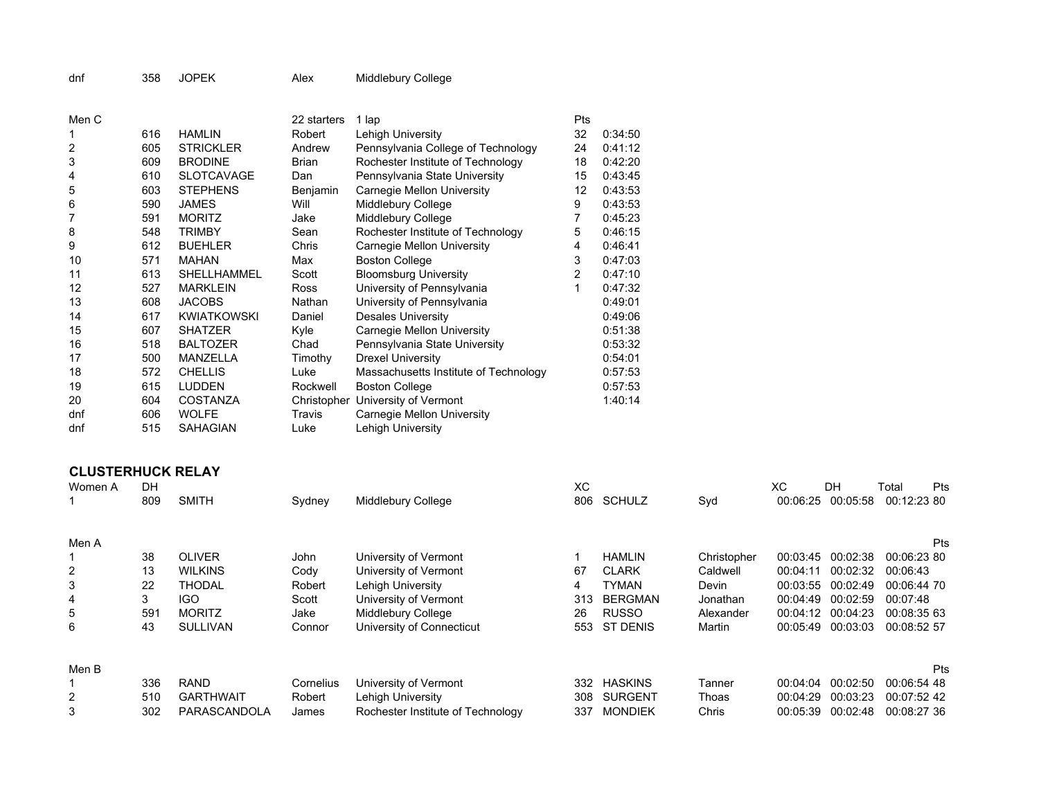|  | dnf | JOPEK<br>358 |  | Alex | Middlebury College |  |
|--|-----|--------------|--|------|--------------------|--|
|--|-----|--------------|--|------|--------------------|--|

| Men C |     |                    | 22 starters  | 1 lap                                 | Pts |         |
|-------|-----|--------------------|--------------|---------------------------------------|-----|---------|
|       | 616 | <b>HAMLIN</b>      | Robert       | Lehigh University                     | 32  | 0:34:50 |
| 2     | 605 | <b>STRICKLER</b>   | Andrew       | Pennsylvania College of Technology    | 24  | 0:41:12 |
| 3     | 609 | <b>BRODINE</b>     | <b>Brian</b> | Rochester Institute of Technology     | 18  | 0:42:20 |
| 4     | 610 | <b>SLOTCAVAGE</b>  | Dan          | Pennsylvania State University         | 15  | 0:43:45 |
| 5     | 603 | <b>STEPHENS</b>    | Benjamin     | Carnegie Mellon University            | 12  | 0:43:53 |
| 6     | 590 | <b>JAMES</b>       | Will         | Middlebury College                    | 9   | 0:43:53 |
| 7     | 591 | <b>MORITZ</b>      | Jake         | Middlebury College                    | 7   | 0:45:23 |
| 8     | 548 | <b>TRIMBY</b>      | Sean         | Rochester Institute of Technology     | 5   | 0:46:15 |
| 9     | 612 | <b>BUEHLER</b>     | Chris        | Carnegie Mellon University            | 4   | 0:46:41 |
| 10    | 571 | <b>MAHAN</b>       | Max          | <b>Boston College</b>                 | 3   | 0:47:03 |
| 11    | 613 | SHELLHAMMEL        | Scott        | <b>Bloomsburg University</b>          | 2   | 0:47:10 |
| 12    | 527 | <b>MARKLEIN</b>    | <b>Ross</b>  | University of Pennsylvania            | 1   | 0:47:32 |
| 13    | 608 | <b>JACOBS</b>      | Nathan       | University of Pennsylvania            |     | 0:49:01 |
| 14    | 617 | <b>KWIATKOWSKI</b> | Daniel       | <b>Desales University</b>             |     | 0:49:06 |
| 15    | 607 | <b>SHATZER</b>     | Kyle         | Carnegie Mellon University            |     | 0:51:38 |
| 16    | 518 | <b>BALTOZER</b>    | Chad         | Pennsylvania State University         |     | 0:53:32 |
| 17    | 500 | <b>MANZELLA</b>    | Timothy      | <b>Drexel University</b>              |     | 0.54.01 |
| 18    | 572 | <b>CHELLIS</b>     | Luke         | Massachusetts Institute of Technology |     | 0:57:53 |
| 19    | 615 | <b>LUDDEN</b>      | Rockwell     | <b>Boston College</b>                 |     | 0:57:53 |
| 20    | 604 | <b>COSTANZA</b>    |              | Christopher University of Vermont     |     | 1:40:14 |
| dnf   | 606 | <b>WOLFE</b>       | Travis       | Carnegie Mellon University            |     |         |
| dnf   | 515 | <b>SAHAGIAN</b>    | Luke         | Lehigh University                     |     |         |

## **CLUSTERHUCK RELAY**

| Women A | DH<br>809 | <b>SMITH</b>     | Sydney    | Middlebury College                | XС<br>806 | <b>SCHULZ</b>   | Syd         | XС<br>00:06:25 | DΗ<br>00:05:58 | Total<br>00:12:23 80 | Pts |
|---------|-----------|------------------|-----------|-----------------------------------|-----------|-----------------|-------------|----------------|----------------|----------------------|-----|
|         |           |                  |           |                                   |           |                 |             |                |                |                      |     |
| Men A   |           |                  |           |                                   |           |                 |             |                |                |                      | Pts |
|         | 38        | <b>OLIVER</b>    | John      | University of Vermont             |           | <b>HAMLIN</b>   | Christopher | 00:03:45       | 00:02:38       | 00:06:23 80          |     |
| 2       | 13        | <b>WILKINS</b>   | Cody      | University of Vermont             | 67        | <b>CLARK</b>    | Caldwell    | 00:04:11       | 00:02:32       | 00:06:43             |     |
| 3       | 22        | <b>THODAL</b>    | Robert    | Lehigh University                 | 4         | TYMAN           | Devin       | 00:03:55       | 00:02:49       | 00:06:44 70          |     |
| 4       | 3         | IGO              | Scott     | University of Vermont             | 313       | <b>BERGMAN</b>  | Jonathan    | 00:04:49       | 00:02:59       | 00:07:48             |     |
| 5       | 591       | <b>MORITZ</b>    | Jake      | Middlebury College                | 26        | <b>RUSSO</b>    | Alexander   | 00:04:12       | 00:04:23       | 00:08:35 63          |     |
| 6       | 43        | <b>SULLIVAN</b>  | Connor    | University of Connecticut         | 553       | <b>ST DENIS</b> | Martin      | 00:05:49       | 00:03:03       | 00:08:52 57          |     |
|         |           |                  |           |                                   |           |                 |             |                |                |                      |     |
| Men B   |           |                  |           |                                   |           |                 |             |                |                |                      | Pts |
|         | 336       | <b>RAND</b>      | Cornelius | University of Vermont             | 332       | <b>HASKINS</b>  | Tanner      | 00:04:04       | 00:02:50       | 00:06:54 48          |     |
| 2       | 510       | <b>GARTHWAIT</b> | Robert    | Lehigh University                 | 308       | <b>SURGENT</b>  | Thoas       | 00:04:29       | 00:03:23       | 00:07:52 42          |     |
| 3       | 302       | PARASCANDOLA     | James     | Rochester Institute of Technology | 337       | <b>MONDIEK</b>  | Chris       | 00:05:39       | 00:02:48       | 00:08:27 36          |     |
|         |           |                  |           |                                   |           |                 |             |                |                |                      |     |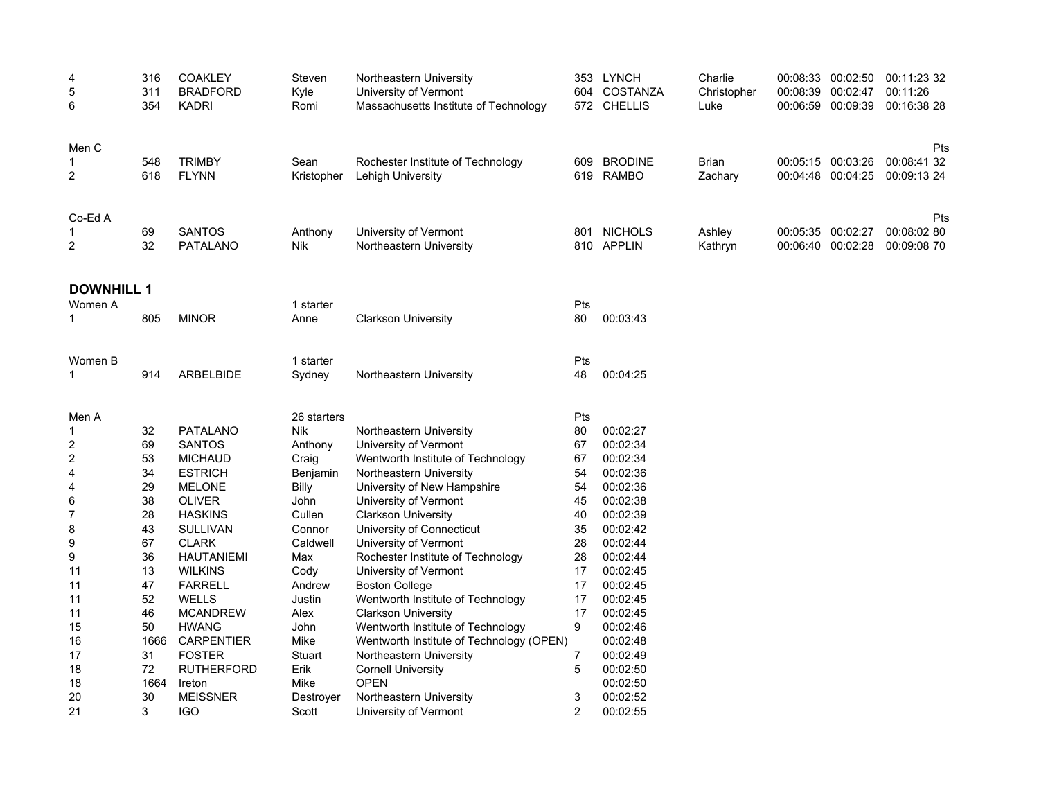| 4<br>5<br>6             | 316<br>311<br>354 | <b>COAKLEY</b><br><b>BRADFORD</b><br><b>KADRI</b> | Steven<br>Kyle<br>Romi | Northeastern University<br>University of Vermont<br>604<br>Massachusetts Institute of Technology |                | 353 LYNCH<br>COSTANZA<br>572 CHELLIS | Charlie<br>Christopher<br>Luke | 00:08:39 | 00:08:33 00:02:50<br>00:02:47<br>00:06:59 00:09:39 | 00:11:23 32<br>00:11:26<br>00:16:38 28 |
|-------------------------|-------------------|---------------------------------------------------|------------------------|--------------------------------------------------------------------------------------------------|----------------|--------------------------------------|--------------------------------|----------|----------------------------------------------------|----------------------------------------|
| Men C<br>2              | 548<br>618        | <b>TRIMBY</b><br><b>FLYNN</b>                     | Sean<br>Kristopher     | Rochester Institute of Technology<br>Lehigh University                                           | 609            | <b>BRODINE</b><br>619 RAMBO          | <b>Brian</b><br>Zachary        |          | 00:05:15 00:03:26<br>00:04:48 00:04:25             | Pts<br>00:08:41 32<br>00:09:13 24      |
| Co-Ed A<br>2            | 69<br>32          | <b>SANTOS</b><br><b>PATALANO</b>                  | Anthony<br>Nik         | University of Vermont<br>Northeastern University                                                 | 801            | <b>NICHOLS</b><br>810 APPLIN         | Ashley<br>Kathryn              |          | 00:05:35 00:02:27<br>00:06:40 00:02:28             | Pts<br>00:08:02 80<br>00:09:08 70      |
| <b>DOWNHILL 1</b>       |                   |                                                   |                        |                                                                                                  |                |                                      |                                |          |                                                    |                                        |
| Women A                 |                   |                                                   | 1 starter              |                                                                                                  | Pts            |                                      |                                |          |                                                    |                                        |
| 1                       | 805               | <b>MINOR</b>                                      | Anne                   | <b>Clarkson University</b>                                                                       | 80             | 00:03:43                             |                                |          |                                                    |                                        |
| Women B                 |                   |                                                   | 1 starter              |                                                                                                  | Pts            |                                      |                                |          |                                                    |                                        |
| 1                       | 914               | ARBELBIDE                                         | Sydney                 | Northeastern University                                                                          | 48             | 00:04:25                             |                                |          |                                                    |                                        |
| Men A                   |                   |                                                   | 26 starters            |                                                                                                  | Pts            |                                      |                                |          |                                                    |                                        |
| 1                       | 32                | <b>PATALANO</b>                                   | Nik                    | Northeastern University                                                                          | 80             | 00:02:27                             |                                |          |                                                    |                                        |
| 2                       | 69                | <b>SANTOS</b>                                     | Anthony                | University of Vermont                                                                            | 67             | 00:02:34                             |                                |          |                                                    |                                        |
| $\overline{\mathbf{c}}$ | 53                | <b>MICHAUD</b>                                    | Craig                  | Wentworth Institute of Technology                                                                | 67             | 00:02:34                             |                                |          |                                                    |                                        |
| 4                       | 34                | <b>ESTRICH</b>                                    | Benjamin               | Northeastern University                                                                          | 54             | 00:02:36                             |                                |          |                                                    |                                        |
| 4                       | 29                | <b>MELONE</b>                                     | Billy                  | University of New Hampshire                                                                      | 54             | 00:02:36                             |                                |          |                                                    |                                        |
| 6                       | 38                | <b>OLIVER</b>                                     | John                   | University of Vermont                                                                            | 45             | 00:02:38                             |                                |          |                                                    |                                        |
| 7                       | 28                | <b>HASKINS</b>                                    | Cullen                 | <b>Clarkson University</b>                                                                       | 40             | 00:02:39                             |                                |          |                                                    |                                        |
| 8                       | 43                | <b>SULLIVAN</b>                                   | Connor                 | University of Connecticut                                                                        | 35             | 00:02:42                             |                                |          |                                                    |                                        |
| 9                       | 67                | <b>CLARK</b>                                      | Caldwell               | University of Vermont                                                                            | 28             | 00:02:44                             |                                |          |                                                    |                                        |
| 9                       | 36                | <b>HAUTANIEMI</b>                                 | Max                    | Rochester Institute of Technology                                                                | 28             | 00:02:44                             |                                |          |                                                    |                                        |
| 11                      | 13                | <b>WILKINS</b>                                    | Cody                   | University of Vermont                                                                            | 17             | 00:02:45                             |                                |          |                                                    |                                        |
| 11                      | 47                | <b>FARRELL</b>                                    | Andrew                 | <b>Boston College</b>                                                                            | 17             | 00:02:45                             |                                |          |                                                    |                                        |
| 11                      | 52                | <b>WELLS</b>                                      | Justin                 | Wentworth Institute of Technology                                                                | 17<br>17       | 00:02:45                             |                                |          |                                                    |                                        |
| 11<br>15                | 46<br>50          | <b>MCANDREW</b><br><b>HWANG</b>                   | Alex<br>John           | <b>Clarkson University</b><br>Wentworth Institute of Technology                                  | 9              | 00:02:45<br>00:02:46                 |                                |          |                                                    |                                        |
| 16                      | 1666              | <b>CARPENTIER</b>                                 | Mike                   | Wentworth Institute of Technology (OPEN)                                                         |                | 00:02:48                             |                                |          |                                                    |                                        |
| 17                      | 31                | <b>FOSTER</b>                                     | Stuart                 | Northeastern University                                                                          | 7              | 00:02:49                             |                                |          |                                                    |                                        |
| 18                      | 72                | <b>RUTHERFORD</b>                                 | Erik                   | <b>Cornell University</b>                                                                        | 5              | 00:02:50                             |                                |          |                                                    |                                        |
| 18                      | 1664              | Ireton                                            | Mike                   | <b>OPEN</b>                                                                                      |                | 00:02:50                             |                                |          |                                                    |                                        |
| 20                      | 30                | <b>MEISSNER</b>                                   | Destroyer              | Northeastern University                                                                          | 3              | 00:02:52                             |                                |          |                                                    |                                        |
| 21                      | 3                 | <b>IGO</b>                                        | Scott                  | University of Vermont                                                                            | $\overline{2}$ | 00:02:55                             |                                |          |                                                    |                                        |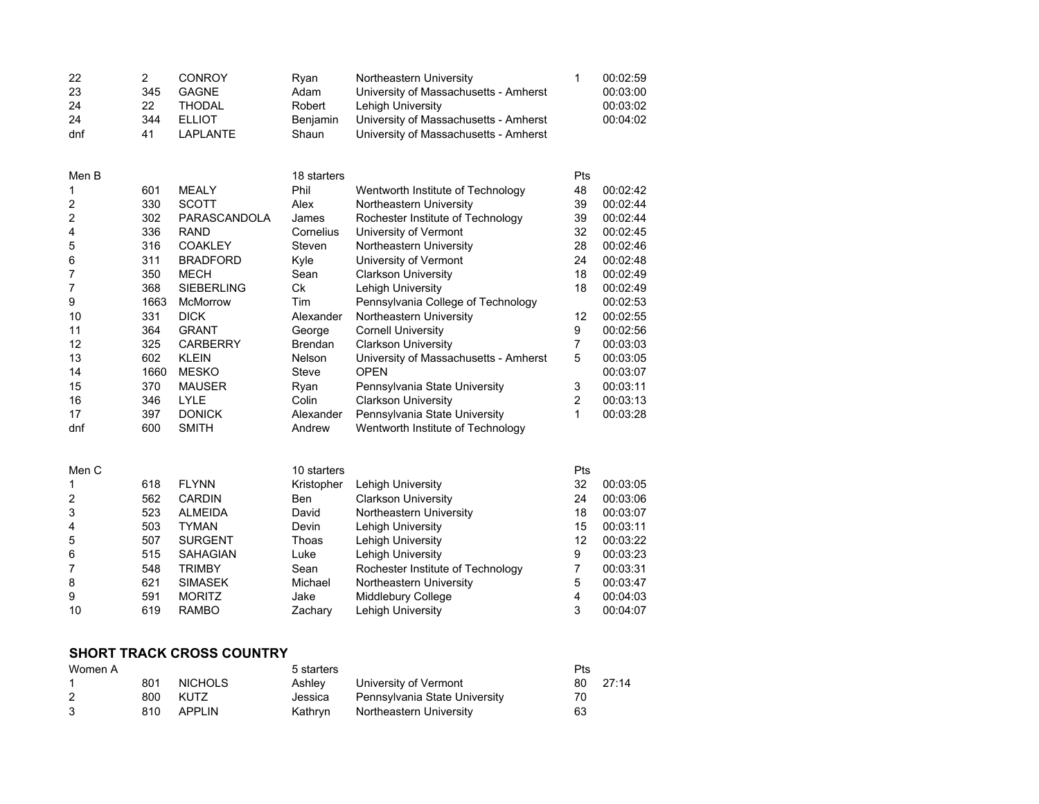| 22<br>23<br>24<br>24<br>dnf | $\overline{2}$<br>345<br>22<br>344<br>41 | <b>CONROY</b><br><b>GAGNE</b><br><b>THODAL</b><br><b>ELLIOT</b><br><b>LAPLANTE</b> | Ryan<br>Adam<br>Robert<br>Benjamin<br>Shaun | Northeastern University<br>University of Massachusetts - Amherst<br><b>Lehigh University</b><br>University of Massachusetts - Amherst<br>University of Massachusetts - Amherst | 1              | 00:02:59<br>00:03:00<br>00:03:02<br>00:04:02 |
|-----------------------------|------------------------------------------|------------------------------------------------------------------------------------|---------------------------------------------|--------------------------------------------------------------------------------------------------------------------------------------------------------------------------------|----------------|----------------------------------------------|
| Men B                       |                                          |                                                                                    | 18 starters                                 |                                                                                                                                                                                | Pts            |                                              |
| 1                           | 601                                      | <b>MEALY</b>                                                                       | Phil                                        | Wentworth Institute of Technology                                                                                                                                              | 48             | 00:02:42                                     |
| 2                           | 330                                      | <b>SCOTT</b>                                                                       | Alex                                        | Northeastern University                                                                                                                                                        | 39             | 00:02:44                                     |
| 2                           | 302                                      | PARASCANDOLA                                                                       | James                                       | Rochester Institute of Technology                                                                                                                                              | 39             | 00:02:44                                     |
| 4                           | 336                                      | <b>RAND</b>                                                                        | Cornelius                                   | University of Vermont                                                                                                                                                          | 32             | 00:02:45                                     |
| 5                           | 316                                      | <b>COAKLEY</b>                                                                     | Steven                                      | Northeastern University                                                                                                                                                        | 28             | 00:02:46                                     |
| 6                           | 311                                      | <b>BRADFORD</b>                                                                    | Kyle                                        | University of Vermont                                                                                                                                                          | 24             | 00:02:48                                     |
| 7                           | 350                                      | <b>MECH</b>                                                                        | Sean                                        | <b>Clarkson University</b>                                                                                                                                                     | 18             | 00:02:49                                     |
| 7                           | 368                                      | <b>SIEBERLING</b>                                                                  | Ck                                          | Lehigh University                                                                                                                                                              | 18             | 00:02:49                                     |
| 9                           | 1663                                     | McMorrow                                                                           | Tim                                         | Pennsylvania College of Technology                                                                                                                                             |                | 00:02:53                                     |
| 10                          | 331                                      | <b>DICK</b>                                                                        | Alexander                                   | Northeastern University                                                                                                                                                        | 12             | 00:02:55                                     |
| 11                          | 364                                      | <b>GRANT</b>                                                                       | George                                      | <b>Cornell University</b>                                                                                                                                                      | 9              | 00:02:56                                     |
| 12                          | 325                                      | <b>CARBERRY</b>                                                                    | <b>Brendan</b>                              | <b>Clarkson University</b>                                                                                                                                                     | 7              | 00:03:03                                     |
| 13                          | 602                                      | <b>KLEIN</b>                                                                       | Nelson                                      | University of Massachusetts - Amherst                                                                                                                                          | 5              | 00:03:05                                     |
| 14                          | 1660                                     | <b>MESKO</b>                                                                       | <b>Steve</b>                                | <b>OPEN</b>                                                                                                                                                                    |                | 00:03:07                                     |
| 15                          | 370                                      | <b>MAUSER</b>                                                                      | Ryan                                        | Pennsylvania State University                                                                                                                                                  | 3              | 00:03:11                                     |
| 16                          | 346                                      | <b>LYLE</b>                                                                        | Colin                                       | <b>Clarkson University</b>                                                                                                                                                     | 2              | 00:03:13                                     |
| 17                          | 397                                      | <b>DONICK</b>                                                                      | Alexander                                   | Pennsylvania State University                                                                                                                                                  | 1              | 00:03:28                                     |
| dnf                         | 600                                      | <b>SMITH</b>                                                                       | Andrew                                      | Wentworth Institute of Technology                                                                                                                                              |                |                                              |
|                             |                                          |                                                                                    |                                             |                                                                                                                                                                                |                |                                              |
| Men C                       |                                          |                                                                                    | 10 starters                                 |                                                                                                                                                                                | Pts            |                                              |
| 1                           | 618                                      | <b>FLYNN</b>                                                                       | Kristopher                                  | Lehigh University                                                                                                                                                              | 32             | 00:03:05                                     |
| 2                           | 562                                      | <b>CARDIN</b>                                                                      | <b>Ben</b>                                  | <b>Clarkson University</b>                                                                                                                                                     | 24             | 00:03:06                                     |
| 3                           | 523                                      | <b>ALMEIDA</b>                                                                     | David                                       | Northeastern University                                                                                                                                                        | 18             | 00:03:07                                     |
| 4                           | 503                                      | <b>TYMAN</b>                                                                       | Devin                                       | Lehigh University                                                                                                                                                              | 15             | 00:03:11                                     |
| 5                           | 507                                      | <b>SURGENT</b>                                                                     | Thoas                                       | <b>Lehigh University</b>                                                                                                                                                       | 12             | 00:03:22                                     |
| 6                           | 515                                      | <b>SAHAGIAN</b>                                                                    | Luke                                        | Lehigh University                                                                                                                                                              | 9              | 00:03:23                                     |
| 7                           | 548                                      | <b>TRIMBY</b>                                                                      | Sean                                        | Rochester Institute of Technology                                                                                                                                              | 7              | 00:03:31                                     |
| 8                           | 621                                      | <b>SIMASEK</b>                                                                     | Michael                                     | Northeastern University                                                                                                                                                        | 5              | 00:03:47                                     |
| 9                           | 591                                      | <b>MORITZ</b>                                                                      | Jake                                        | Middlebury College                                                                                                                                                             | $\overline{4}$ | 00:04:03                                     |
| 10                          | 619                                      | <b>RAMBO</b>                                                                       | Zachary                                     | Lehigh University                                                                                                                                                              | 3              | 00:04:07                                     |

#### **SHORT TRACK CROSS COUNTRY**

| Women A |     |                | 5 starters |                               | Pts |       |
|---------|-----|----------------|------------|-------------------------------|-----|-------|
|         | 801 | <b>NICHOLS</b> | Ashlev     | University of Vermont         | 80  | 27:14 |
|         | 800 | <b>KUTZ</b>    | Jessica    | Pennsylvania State University | 70  |       |
|         | 810 | APPLIN         | Kathrvn    | Northeastern University       | 63  |       |
|         |     |                |            |                               |     |       |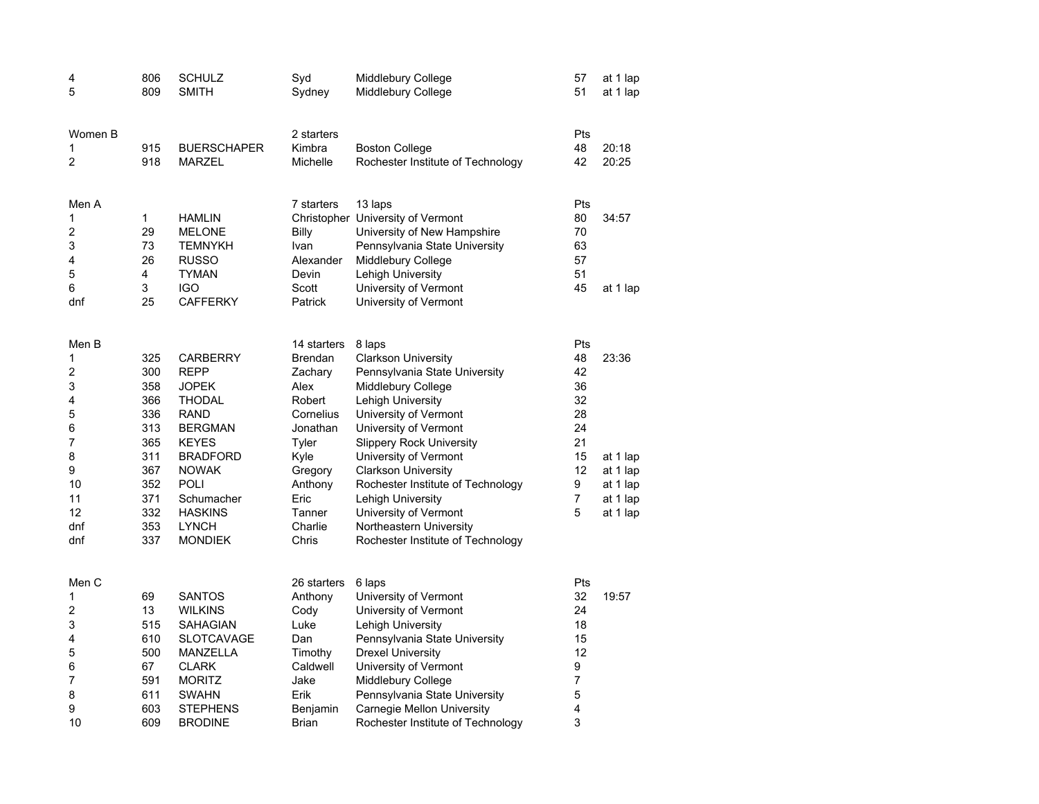| 4<br>5                                                                             | 806<br>809                                                                                     | <b>SCHULZ</b><br><b>SMITH</b>                                                                                                                                                                                                        | Syd<br>Sydney                                                                                                                                             | Middlebury College<br>Middlebury College                                                                                                                                                                                                                                                                                                                                                                               | 57<br>51                                                                                | at 1 lap<br>at 1 lap                                              |
|------------------------------------------------------------------------------------|------------------------------------------------------------------------------------------------|--------------------------------------------------------------------------------------------------------------------------------------------------------------------------------------------------------------------------------------|-----------------------------------------------------------------------------------------------------------------------------------------------------------|------------------------------------------------------------------------------------------------------------------------------------------------------------------------------------------------------------------------------------------------------------------------------------------------------------------------------------------------------------------------------------------------------------------------|-----------------------------------------------------------------------------------------|-------------------------------------------------------------------|
| Women B<br>1<br>2                                                                  | 915<br>918                                                                                     | <b>BUERSCHAPER</b><br><b>MARZEL</b>                                                                                                                                                                                                  | 2 starters<br>Kimbra<br>Michelle                                                                                                                          | <b>Boston College</b><br>Rochester Institute of Technology                                                                                                                                                                                                                                                                                                                                                             | Pts<br>48<br>42                                                                         | 20:18<br>20:25                                                    |
| Men A<br>1<br>2<br>3<br>4<br>5<br>6<br>dnf                                         | 1<br>29<br>73<br>26<br>4<br>3<br>25                                                            | <b>HAMLIN</b><br><b>MELONE</b><br><b>TEMNYKH</b><br><b>RUSSO</b><br><b>TYMAN</b><br><b>IGO</b><br><b>CAFFERKY</b>                                                                                                                    | 7 starters<br>Billy<br>Ivan<br>Alexander<br>Devin<br>Scott<br>Patrick                                                                                     | 13 laps<br>Christopher University of Vermont<br>University of New Hampshire<br>Pennsylvania State University<br><b>Middlebury College</b><br>Lehigh University<br>University of Vermont<br>University of Vermont                                                                                                                                                                                                       | Pts<br>80<br>70<br>63<br>57<br>51<br>45                                                 | 34:57<br>at 1 lap                                                 |
| Men B<br>1<br>2<br>3<br>4<br>5<br>6<br>7<br>8<br>9<br>10<br>11<br>12<br>dnf<br>dnf | 325<br>300<br>358<br>366<br>336<br>313<br>365<br>311<br>367<br>352<br>371<br>332<br>353<br>337 | <b>CARBERRY</b><br><b>REPP</b><br><b>JOPEK</b><br><b>THODAL</b><br><b>RAND</b><br><b>BERGMAN</b><br><b>KEYES</b><br><b>BRADFORD</b><br><b>NOWAK</b><br><b>POLI</b><br>Schumacher<br><b>HASKINS</b><br><b>LYNCH</b><br><b>MONDIEK</b> | 14 starters<br>Brendan<br>Zachary<br>Alex<br>Robert<br>Cornelius<br>Jonathan<br>Tyler<br>Kyle<br>Gregory<br>Anthony<br>Eric<br>Tanner<br>Charlie<br>Chris | 8 laps<br><b>Clarkson University</b><br>Pennsylvania State University<br>Middlebury College<br>Lehigh University<br>University of Vermont<br>University of Vermont<br><b>Slippery Rock University</b><br>University of Vermont<br><b>Clarkson University</b><br>Rochester Institute of Technology<br><b>Lehigh University</b><br>University of Vermont<br>Northeastern University<br>Rochester Institute of Technology | Pts<br>48<br>42<br>36<br>32<br>28<br>24<br>21<br>15<br>12<br>9<br>$\boldsymbol{7}$<br>5 | 23:36<br>at 1 lap<br>at 1 lap<br>at 1 lap<br>at 1 lap<br>at 1 lap |
| Men C<br>1<br>2<br>3<br>4<br>5<br>6<br>7<br>8<br>9<br>10                           | 69<br>13<br>515<br>610<br>500<br>67<br>591<br>611<br>603<br>609                                | <b>SANTOS</b><br><b>WILKINS</b><br><b>SAHAGIAN</b><br><b>SLOTCAVAGE</b><br>MANZELLA<br><b>CLARK</b><br><b>MORITZ</b><br><b>SWAHN</b><br><b>STEPHENS</b><br><b>BRODINE</b>                                                            | 26 starters<br>Anthony<br>Cody<br>Luke<br>Dan<br>Timothy<br>Caldwell<br>Jake<br>Erik<br>Benjamin<br><b>Brian</b>                                          | 6 laps<br>University of Vermont<br>University of Vermont<br><b>Lehigh University</b><br>Pennsylvania State University<br><b>Drexel University</b><br>University of Vermont<br>Middlebury College<br>Pennsylvania State University<br>Carnegie Mellon University<br>Rochester Institute of Technology                                                                                                                   | Pts<br>32<br>24<br>18<br>15<br>12<br>9<br>7<br>5<br>4<br>3                              | 19:57                                                             |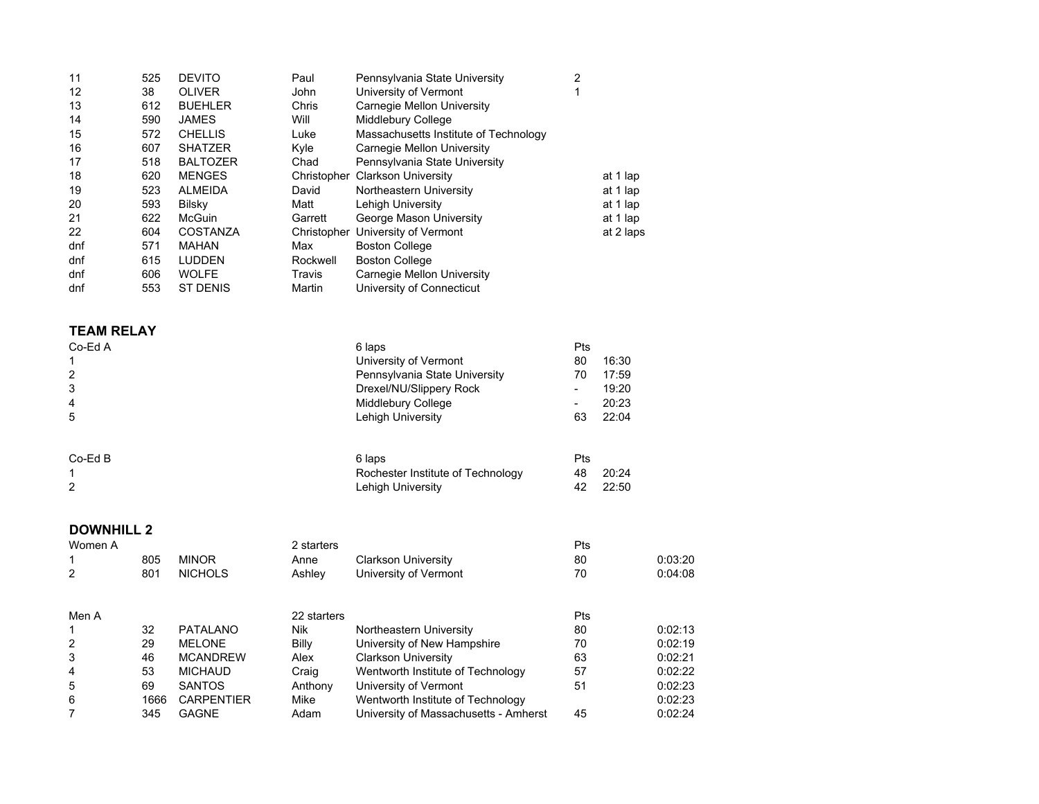| 11                | 525 | <b>DEVITO</b>   | Paul     | Pennsylvania State University         | 2 |           |
|-------------------|-----|-----------------|----------|---------------------------------------|---|-----------|
| $12 \overline{ }$ | 38  | <b>OLIVER</b>   | John     | University of Vermont                 | 4 |           |
| 13                | 612 | <b>BUEHLER</b>  | Chris    | Carnegie Mellon University            |   |           |
| 14                | 590 | <b>JAMES</b>    | Will     | Middlebury College                    |   |           |
| 15                | 572 | <b>CHELLIS</b>  | Luke     | Massachusetts Institute of Technology |   |           |
| 16                | 607 | <b>SHATZER</b>  | Kyle     | Carnegie Mellon University            |   |           |
| 17                | 518 | <b>BALTOZER</b> | Chad     | Pennsylvania State University         |   |           |
| 18                | 620 | <b>MENGES</b>   |          | Christopher Clarkson University       |   | at 1 lap  |
| 19                | 523 | <b>ALMEIDA</b>  | David    | Northeastern University               |   | at 1 lap  |
| 20                | 593 | Bilsky          | Matt     | Lehigh University                     |   | at 1 lap  |
| 21                | 622 | <b>McGuin</b>   | Garrett  | George Mason University               |   | at 1 lap  |
| 22                | 604 | COSTANZA        |          | Christopher University of Vermont     |   | at 2 laps |
| dnf               | 571 | MAHAN           | Max      | <b>Boston College</b>                 |   |           |
| dnf               | 615 | <b>LUDDEN</b>   | Rockwell | <b>Boston College</b>                 |   |           |
| dnf               | 606 | <b>WOLFE</b>    | Travis   | Carnegie Mellon University            |   |           |
| dnf               | 553 | <b>ST DENIS</b> | Martin   | University of Connecticut             |   |           |
|                   |     |                 |          |                                       |   |           |

## **TEAM RELAY**

| Co-Ed A        | 6 laps                            | Pts            |       |
|----------------|-----------------------------------|----------------|-------|
|                | University of Vermont             | 80             | 16:30 |
| $\overline{2}$ | Pennsylvania State University     | 70             | 17:59 |
| 3              | Drexel/NU/Slippery Rock           | $\blacksquare$ | 19:20 |
| 4              | Middlebury College                | -              | 20:23 |
| 5              | Lehigh University                 | 63             | 22:04 |
|                |                                   |                |       |
| $Co-EdB$       | 6 laps                            | Pts            |       |
|                | Rochester Institute of Technology | 48             | 20:24 |
| 2              | Lehigh University                 | 42             | 22:50 |
|                |                                   |                |       |

## **DOWNHILL 2**

| Women A |      |                   | 2 starters  |                                       | Pts |         |
|---------|------|-------------------|-------------|---------------------------------------|-----|---------|
|         | 805  | <b>MINOR</b>      | Anne        | <b>Clarkson University</b>            | 80  | 0:03:20 |
| 2       | 801  | <b>NICHOLS</b>    | Ashley      | University of Vermont                 | 70  | 0:04:08 |
|         |      |                   |             |                                       |     |         |
| Men A   |      |                   | 22 starters |                                       | Pts |         |
|         | 32   | <b>PATALANO</b>   | <b>Nik</b>  | Northeastern University               | 80  | 0.02:13 |
| 2       | 29   | <b>MELONE</b>     | Billy       | University of New Hampshire           | 70  | 0:02:19 |
| 3       | 46   | <b>MCANDREW</b>   | Alex        | <b>Clarkson University</b>            | 63  | 0:02:21 |
| 4       | 53   | <b>MICHAUD</b>    | Craig       | Wentworth Institute of Technology     | 57  | 0:02:22 |
| 5       | 69   | <b>SANTOS</b>     | Anthony     | University of Vermont                 | 51  | 0:02:23 |
| 6       | 1666 | <b>CARPENTIER</b> | Mike        | Wentworth Institute of Technology     |     | 0:02:23 |
|         | 345  | <b>GAGNE</b>      | Adam        | University of Massachusetts - Amherst | 45  | 0:02:24 |